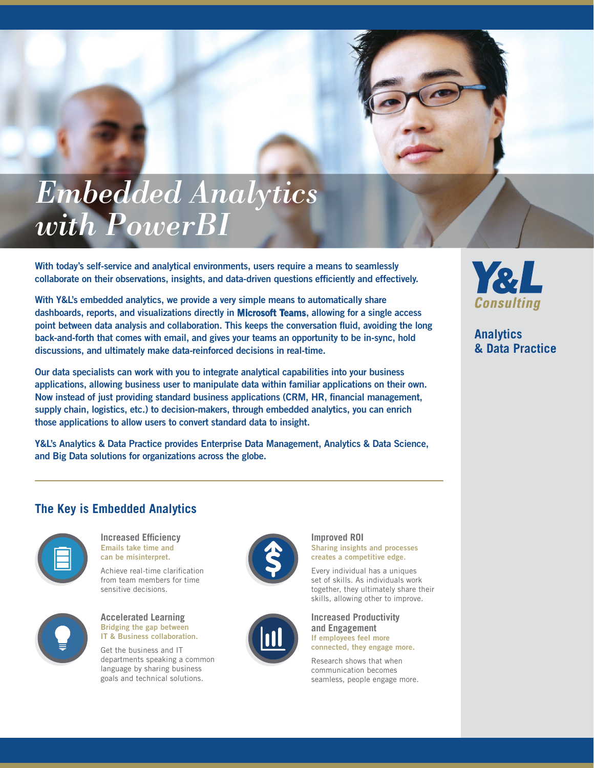# *Embedded Analytics with PowerBI*

With today's self-service and analytical environments, users require a means to seamlessly collaborate on their observations, insights, and data-driven questions efficiently and effectively.

With Y&L's embedded analytics, we provide a very simple means to automatically share dashboards, reports, and visualizations directly in Microsoft Teams, allowing for a single access point between data analysis and collaboration. This keeps the conversation fluid, avoiding the long back-and-forth that comes with email, and gives your teams an opportunity to be in-sync, hold discussions, and ultimately make data-reinforced decisions in real-time.

Our data specialists can work with you to integrate analytical capabilities into your business applications, allowing business user to manipulate data within familiar applications on their own. Now instead of just providing standard business applications (CRM, HR, financial management, supply chain, logistics, etc.) to decision-makers, through embedded analytics, you can enrich those applications to allow users to convert standard data to insight.

Y&L's Analytics & Data Practice provides Enterprise Data Management, Analytics & Data Science, and Big Data solutions for organizations across the globe.

## Y&L Consulting

**Analytics & Data Practice**

#### **The Key is Embedded Analytics**



**Increased Efficiency** Emails take time and can be misinterpret.

Achieve real-time clarification from team members for time sensitive decisions.



IT & Business collaboration. Get the business and IT

departments speaking a common language by sharing business goals and technical solutions.





Sharing insights and processes

skills, allowing other to improve.

**Improved ROI**



**Increased Productivity and Engagement** If employees feel more connected, they engage more.

Research shows that when communication becomes seamless, people engage more.